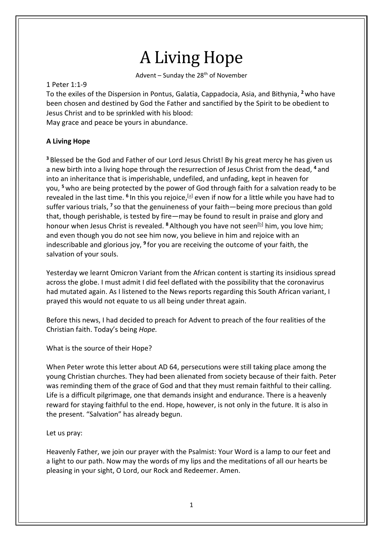# A Living Hope

Advent – Sunday the  $28<sup>th</sup>$  of November

## 1 Peter 1:1-9

To the exiles of the Dispersion in Pontus, Galatia, Cappadocia, Asia, and Bithynia, **<sup>2</sup>**who have been chosen and destined by God the Father and sanctified by the Spirit to be obedient to Jesus Christ and to be sprinkled with his blood:

May grace and peace be yours in abundance.

# **A Living Hope**

**<sup>3</sup>** Blessed be the God and Father of our Lord Jesus Christ! By his great mercy he has given us a new birth into a living hope through the resurrection of Jesus Christ from the dead, **<sup>4</sup>** and into an inheritance that is imperishable, undefiled, and unfading, kept in heaven for you, **<sup>5</sup>**who are being protected by the power of God through faith for a salvation ready to be revealed in the last time. <sup>6</sup> In this you rejoice,<sup>[a]</sup> even if now for a little while you have had to suffer various trials, **<sup>7</sup>** so that the genuineness of your faith—being more precious than gold that, though perishable, is tested by fire—may be found to result in praise and glory and honour when Jesus Christ is revealed. <sup>8</sup> Although you have not seen<sup>[b]</sup> him, you love him; and even though you do not see him now, you believe in him and rejoice with an indescribable and glorious joy, **<sup>9</sup>** for you are receiving the outcome of your faith, the salvation of your souls.

Yesterday we learnt Omicron Variant from the African content is starting its insidious spread across the globe. I must admit I did feel deflated with the possibility that the coronavirus had mutated again. As I listened to the News reports regarding this South African variant, I prayed this would not equate to us all being under threat again.

Before this news, I had decided to preach for Advent to preach of the four realities of the Christian faith. Today's being *Hope.*

What is the source of their Hope?

When Peter wrote this letter about AD 64, persecutions were still taking place among the young Christian churches. They had been alienated from society because of their faith. Peter was reminding them of the grace of God and that they must remain faithful to their calling. Life is a difficult pilgrimage, one that demands insight and endurance. There is a heavenly reward for staying faithful to the end. Hope, however, is not only in the future. It is also in the present. "Salvation" has already begun.

Let us pray:

Heavenly Father, we join our prayer with the Psalmist: Your Word is a lamp to our feet and a light to our path. Now may the words of my lips and the meditations of all our hearts be pleasing in your sight, O Lord, our Rock and Redeemer. Amen.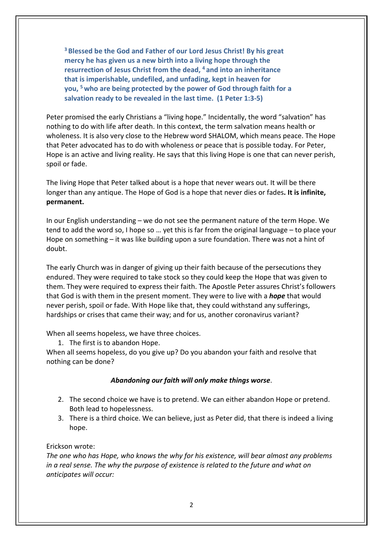**<sup>3</sup> Blessed be the God and Father of our Lord Jesus Christ! By his great mercy he has given us a new birth into a living hope through the resurrection of Jesus Christ from the dead, <sup>4</sup> and into an inheritance that is imperishable, undefiled, and unfading, kept in heaven for you, <sup>5</sup> who are being protected by the power of God through faith for a salvation ready to be revealed in the last time. (1 Peter 1:3-5)**

Peter promised the early Christians a "living hope." Incidentally, the word "salvation" has nothing to do with life after death. In this context, the term salvation means health or wholeness. It is also very close to the Hebrew word SHALOM, which means peace. The Hope that Peter advocated has to do with wholeness or peace that is possible today. For Peter, Hope is an active and living reality. He says that this living Hope is one that can never perish, spoil or fade.

The living Hope that Peter talked about is a hope that never wears out. It will be there longer than any antique. The Hope of God is a hope that never dies or fades**. It is infinite, permanent.**

In our English understanding – we do not see the permanent nature of the term Hope. We tend to add the word so, I hope so … yet this is far from the original language – to place your Hope on something – it was like building upon a sure foundation. There was not a hint of doubt.

The early Church was in danger of giving up their faith because of the persecutions they endured. They were required to take stock so they could keep the Hope that was given to them. They were required to express their faith. The Apostle Peter assures Christ's followers that God is with them in the present moment. They were to live with a *hope* that would never perish, spoil or fade. With Hope like that, they could withstand any sufferings, hardships or crises that came their way; and for us, another coronavirus variant?

When all seems hopeless, we have three choices.

1. The first is to abandon Hope.

When all seems hopeless, do you give up? Do you abandon your faith and resolve that nothing can be done?

#### *Abandoning our faith will only make things worse*.

- 2. The second choice we have is to pretend. We can either abandon Hope or pretend. Both lead to hopelessness.
- 3. There is a third choice. We can believe, just as Peter did, that there is indeed a living hope.

#### Erickson wrote:

*The one who has Hope, who knows the why for his existence, will bear almost any problems in a real sense. The why the purpose of existence is related to the future and what on anticipates will occur:*